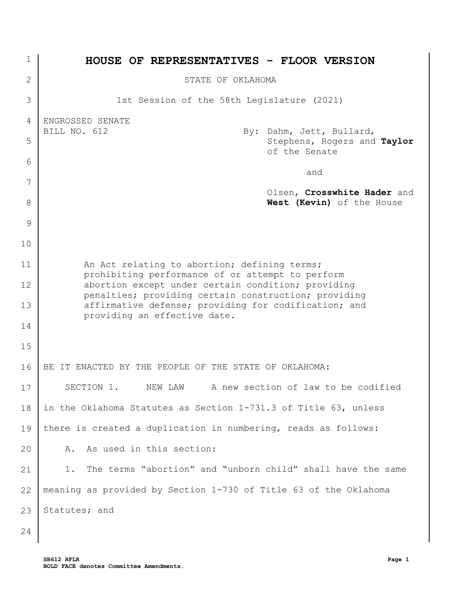| 1            | <b>HOUSE OF REPRESENTATIVES - FLOOR VERSION</b>                                                            |
|--------------|------------------------------------------------------------------------------------------------------------|
| $\mathbf{2}$ | STATE OF OKLAHOMA                                                                                          |
| 3            | 1st Session of the 58th Legislature (2021)                                                                 |
| 4            | ENGROSSED SENATE                                                                                           |
| 5            | BILL NO. 612<br>By: Dahm, Jett, Bullard,<br>Stephens, Rogers and Taylor<br>of the Senate                   |
| 6            | and                                                                                                        |
| 7            | Olsen, Crosswhite Hader and                                                                                |
| 8            | West (Kevin) of the House                                                                                  |
| 9            |                                                                                                            |
| 10           |                                                                                                            |
| 11           | An Act relating to abortion; defining terms;<br>prohibiting performance of or attempt to perform           |
| 12           | abortion except under certain condition; providing<br>penalties; providing certain construction; providing |
| 13           | affirmative defense; providing for codification; and                                                       |
| 14           | providing an effective date.                                                                               |
| 15           |                                                                                                            |
| 16           | IT ENACTED BY THE PEOPLE OF THE STATE OF OKLAHOMA:<br>BE.                                                  |
| 17           | NEW LAW A new section of law to be codified<br>SECTION 1.                                                  |
| 18           | in the Oklahoma Statutes as Section 1-731.3 of Title 63, unless                                            |
| 19           | there is created a duplication in numbering, reads as follows:                                             |
| 20           | As used in this section:<br>Α.                                                                             |
| 21           | The terms "abortion" and "unborn child" shall have the same<br>1.                                          |
| 22           | meaning as provided by Section 1-730 of Title 63 of the Oklahoma                                           |
| 23           | Statutes; and                                                                                              |
| 24           |                                                                                                            |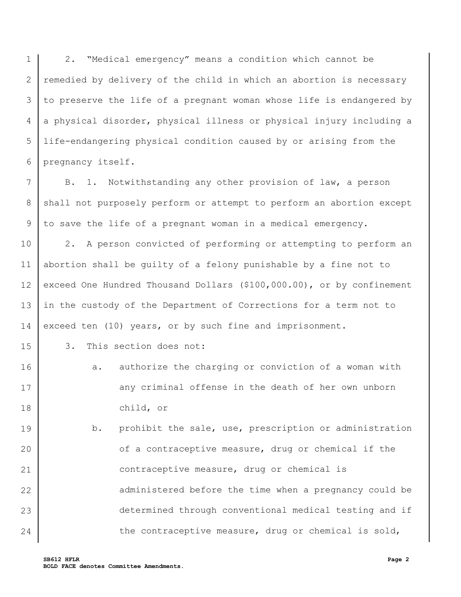1 2 3 4 5 6 2. "Medical emergency" means a condition which cannot be remedied by delivery of the child in which an abortion is necessary to preserve the life of a pregnant woman whose life is endangered by a physical disorder, physical illness or physical injury including a life-endangering physical condition caused by or arising from the pregnancy itself.

7 8 9 B. 1. Notwithstanding any other provision of law, a person shall not purposely perform or attempt to perform an abortion except to save the life of a pregnant woman in a medical emergency.

10 11 12 13 14 2. A person convicted of performing or attempting to perform an abortion shall be guilty of a felony punishable by a fine not to exceed One Hundred Thousand Dollars (\$100,000.00), or by confinement in the custody of the Department of Corrections for a term not to exceed ten (10) years, or by such fine and imprisonment.

3. This section does not:

15

- 16 17 18 a. authorize the charging or conviction of a woman with any criminal offense in the death of her own unborn child, or
- 19 20 21 22 23 24 b. prohibit the sale, use, prescription or administration of a contraceptive measure, drug or chemical if the contraceptive measure, drug or chemical is administered before the time when a pregnancy could be determined through conventional medical testing and if the contraceptive measure, drug or chemical is sold,